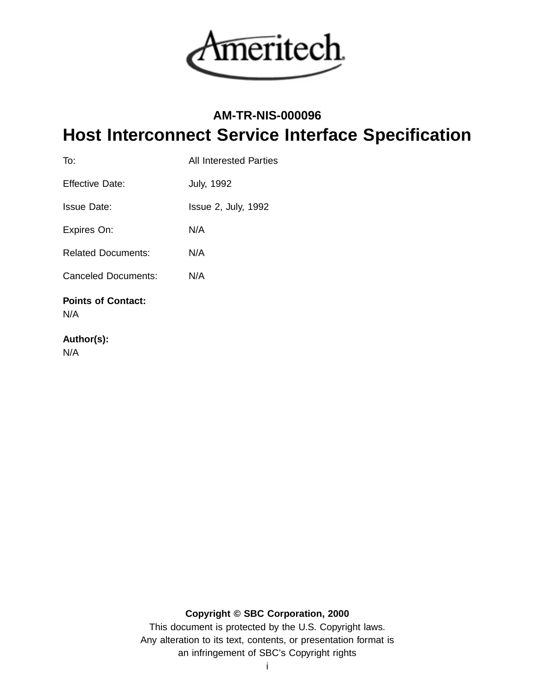

# **AM-TR-NIS-000096 Host Interconnect Service Interface Specification**

| Author(s):                       |                               |
|----------------------------------|-------------------------------|
| <b>Points of Contact:</b><br>N/A |                               |
| <b>Canceled Documents:</b>       | N/A                           |
| <b>Related Documents:</b>        | N/A                           |
| Expires On:                      | N/A                           |
| <b>Issue Date:</b>               | <b>Issue 2, July, 1992</b>    |
| Effective Date:                  | <b>July, 1992</b>             |
| To:                              | <b>All Interested Parties</b> |

N/A

**Copyright © SBC Corporation, 2000**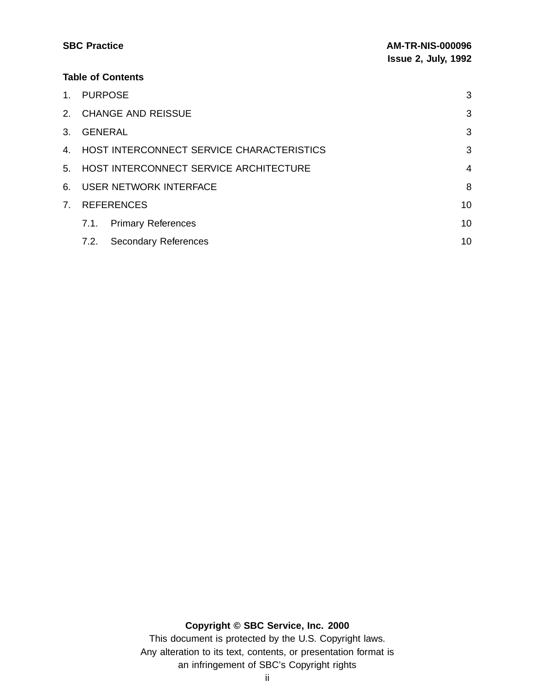| <b>SBC Practice</b>      | <b>AM-TR-NIS-000096</b><br><b>Issue 2, July, 1992</b> |  |
|--------------------------|-------------------------------------------------------|--|
| <b>Table of Contents</b> |                                                       |  |
| 1. PURPOSE               | -2                                                    |  |

|    |         | 2. CHANGE AND REISSUE                        | 3  |
|----|---------|----------------------------------------------|----|
| 3. | GENERAL |                                              | 3  |
|    |         | 4. HOST INTERCONNECT SERVICE CHARACTERISTICS | 3  |
|    |         | 5. HOST INTERCONNECT SERVICE ARCHITECTURE    | 4  |
|    |         | 6. USER NETWORK INTERFACE                    | 8  |
|    |         | 7. REFERENCES                                | 10 |
|    | 7.1.    | <b>Primary References</b>                    | 10 |
|    | 7.2.    | <b>Secondary References</b>                  | 10 |

**Copyright © SBC Service, Inc. 2000**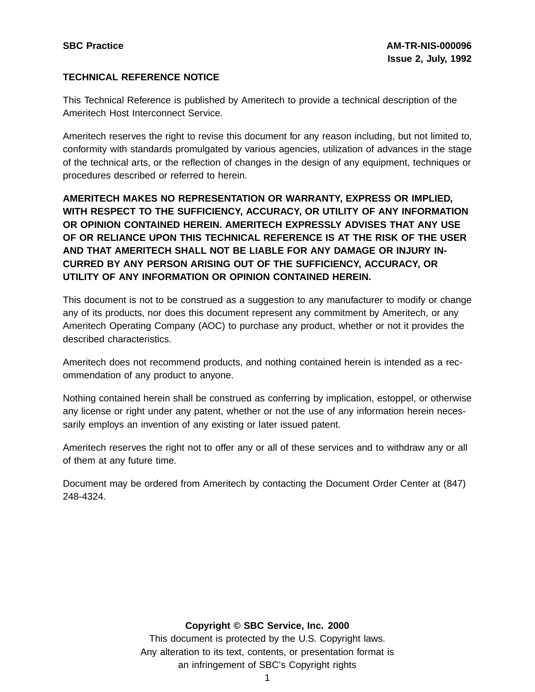## **TECHNICAL REFERENCE NOTICE**

This Technical Reference is published by Ameritech to provide a technical description of the Ameritech Host Interconnect Service.

Ameritech reserves the right to revise this document for any reason including, but not limited to, conformity with standards promulgated by various agencies, utilization of advances in the stage of the technical arts, or the reflection of changes in the design of any equipment, techniques or procedures described or referred to herein.

**AMERITECH MAKES NO REPRESENTATION OR WARRANTY, EXPRESS OR IMPLIED, WITH RESPECT TO THE SUFFICIENCY, ACCURACY, OR UTILITY OF ANY INFORMATION OR OPINION CONTAINED HEREIN. AMERITECH EXPRESSLY ADVISES THAT ANY USE OF OR RELIANCE UPON THIS TECHNICAL REFERENCE IS AT THE RISK OF THE USER AND THAT AMERITECH SHALL NOT BE LIABLE FOR ANY DAMAGE OR INJURY IN-CURRED BY ANY PERSON ARISING OUT OF THE SUFFICIENCY, ACCURACY, OR UTILITY OF ANY INFORMATION OR OPINION CONTAINED HEREIN.**

This document is not to be construed as a suggestion to any manufacturer to modify or change any of its products, nor does this document represent any commitment by Ameritech, or any Ameritech Operating Company (AOC) to purchase any product, whether or not it provides the described characteristics.

Ameritech does not recommend products, and nothing contained herein is intended as a recommendation of any product to anyone.

Nothing contained herein shall be construed as conferring by implication, estoppel, or otherwise any license or right under any patent, whether or not the use of any information herein necessarily employs an invention of any existing or later issued patent.

Ameritech reserves the right not to offer any or all of these services and to withdraw any or all of them at any future time.

Document may be ordered from Ameritech by contacting the Document Order Center at (847) 248-4324.

#### **Copyright © SBC Service, Inc. 2000**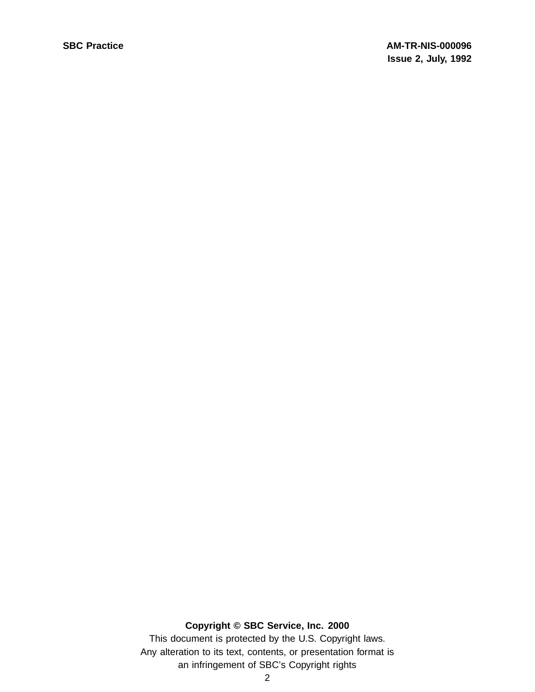## **Copyright © SBC Service, Inc. 2000**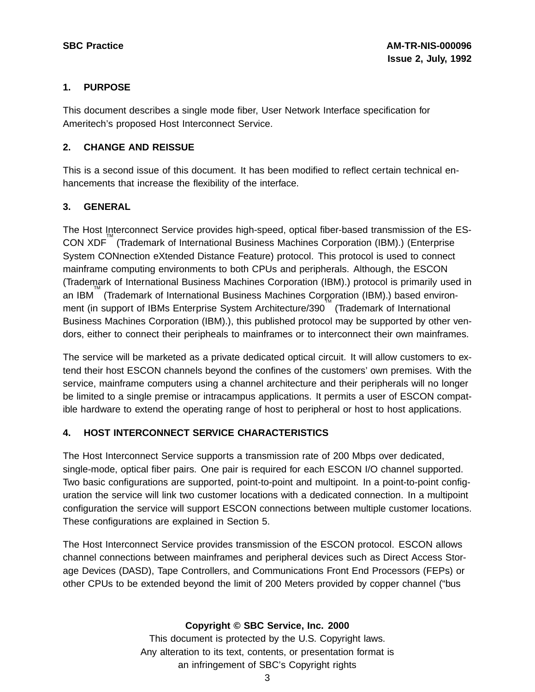## **1. PURPOSE**

This document describes a single mode fiber, User Network Interface specification for Ameritech's proposed Host Interconnect Service.

## **2. CHANGE AND REISSUE**

This is a second issue of this document. It has been modified to reflect certain technical enhancements that increase the flexibility of the interface.

## **3. GENERAL**

The Host Interconnect Service provides high-speed, optical fiber-based transmission of the ES-CON XDF<sup>™</sup> (Trademark of International Business Machines Corporation (IBM).) (Enterprise System CONnection eXtended Distance Feature) protocol. This protocol is used to connect mainframe computing environments to both CPUs and peripherals. Although, the ESCON (Trademark of International Business Machines Corporation (IBM).) protocol is primarily used in an IBM (Trademark of International Business Machines Corporation (IBM).) based environment (in support of IBMs Enterprise System Architecture/390<sup>""</sup> (Trademark of International Business Machines Corporation (IBM).), this published protocol may be supported by other vendors, either to connect their peripheals to mainframes or to interconnect their own mainframes.

The service will be marketed as a private dedicated optical circuit. It will allow customers to extend their host ESCON channels beyond the confines of the customers' own premises. With the service, mainframe computers using a channel architecture and their peripherals will no longer be limited to a single premise or intracampus applications. It permits a user of ESCON compatible hardware to extend the operating range of host to peripheral or host to host applications.

## **4. HOST INTERCONNECT SERVICE CHARACTERISTICS**

The Host Interconnect Service supports a transmission rate of 200 Mbps over dedicated, single-mode, optical fiber pairs. One pair is required for each ESCON I/O channel supported. Two basic configurations are supported, point-to-point and multipoint. In a point-to-point configuration the service will link two customer locations with a dedicated connection. In a multipoint configuration the service will support ESCON connections between multiple customer locations. These configurations are explained in Section 5.

The Host Interconnect Service provides transmission of the ESCON protocol. ESCON allows channel connections between mainframes and peripheral devices such as Direct Access Storage Devices (DASD), Tape Controllers, and Communications Front End Processors (FEPs) or other CPUs to be extended beyond the limit of 200 Meters provided by copper channel ("bus

## **Copyright © SBC Service, Inc. 2000**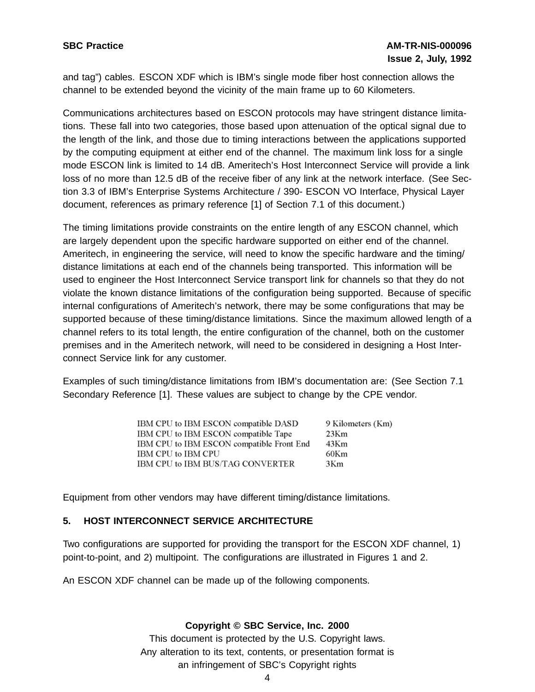and tag") cables. ESCON XDF which is IBM's single mode fiber host connection allows the channel to be extended beyond the vicinity of the main frame up to 60 Kilometers.

Communications architectures based on ESCON protocols may have stringent distance limitations. These fall into two categories, those based upon attenuation of the optical signal due to the length of the link, and those due to timing interactions between the applications supported by the computing equipment at either end of the channel. The maximum link loss for a single mode ESCON link is limited to 14 dB. Ameritech's Host Interconnect Service will provide a link loss of no more than 12.5 dB of the receive fiber of any link at the network interface. (See Section 3.3 of IBM's Enterprise Systems Architecture / 390- ESCON VO Interface, Physical Layer document, references as primary reference [1] of Section 7.1 of this document.)

The timing limitations provide constraints on the entire length of any ESCON channel, which are largely dependent upon the specific hardware supported on either end of the channel. Ameritech, in engineering the service, will need to know the specific hardware and the timing/ distance limitations at each end of the channels being transported. This information will be used to engineer the Host Interconnect Service transport link for channels so that they do not violate the known distance limitations of the configuration being supported. Because of specific internal configurations of Ameritech's network, there may be some configurations that may be supported because of these timing/distance limitations. Since the maximum allowed length of a channel refers to its total length, the entire configuration of the channel, both on the customer premises and in the Ameritech network, will need to be considered in designing a Host Interconnect Service link for any customer.

Examples of such timing/distance limitations from IBM's documentation are: (See Section 7.1 Secondary Reference [1]. These values are subject to change by the CPE vendor.

| IBM CPU to IBM ESCON compatible DASD      | 9 Kilometers (Km) |
|-------------------------------------------|-------------------|
| IBM CPU to IBM ESCON compatible Tape      | 23Km              |
| IBM CPU to IBM ESCON compatible Front End | 43Km              |
| <b>IBM CPU to IBM CPU</b>                 | 60Km              |
| IBM CPU to IBM BUS/TAG CONVERTER          | 3Km               |

Equipment from other vendors may have different timing/distance limitations.

## **5. HOST INTERCONNECT SERVICE ARCHITECTURE**

Two configurations are supported for providing the transport for the ESCON XDF channel, 1) point-to-point, and 2) multipoint. The configurations are illustrated in Figures 1 and 2.

An ESCON XDF channel can be made up of the following components.

#### **Copyright © SBC Service, Inc. 2000**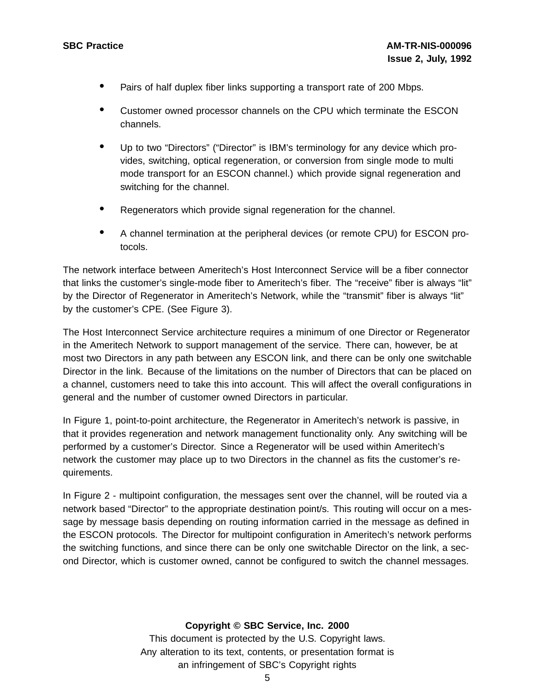- Pairs of half duplex fiber links supporting a transport rate of 200 Mbps.
- Customer owned processor channels on the CPU which terminate the ESCON channels.
- Up to two "Directors" ("Director" is IBM's terminology for any device which provides, switching, optical regeneration, or conversion from single mode to multi mode transport for an ESCON channel.) which provide signal regeneration and switching for the channel.
- Regenerators which provide signal regeneration for the channel.
- <sup>A</sup> channel termination at the peripheral devices (or remote CPU) for ESCON protocols.

The network interface between Ameritech's Host Interconnect Service will be a fiber connector that links the customer's single-mode fiber to Ameritech's fiber. The "receive" fiber is always "lit" by the Director of Regenerator in Ameritech's Network, while the "transmit" fiber is always "lit" by the customer's CPE. (See Figure 3).

The Host Interconnect Service architecture requires a minimum of one Director or Regenerator in the Ameritech Network to support management of the service. There can, however, be at most two Directors in any path between any ESCON link, and there can be only one switchable Director in the link. Because of the limitations on the number of Directors that can be placed on a channel, customers need to take this into account. This will affect the overall configurations in general and the number of customer owned Directors in particular.

In Figure 1, point-to-point architecture, the Regenerator in Ameritech's network is passive, in that it provides regeneration and network management functionality only. Any switching will be performed by a customer's Director. Since a Regenerator will be used within Ameritech's network the customer may place up to two Directors in the channel as fits the customer's requirements.

In Figure 2 - multipoint configuration, the messages sent over the channel, will be routed via a network based "Director" to the appropriate destination point/s. This routing will occur on a message by message basis depending on routing information carried in the message as defined in the ESCON protocols. The Director for multipoint configuration in Ameritech's network performs the switching functions, and since there can be only one switchable Director on the link, a second Director, which is customer owned, cannot be configured to switch the channel messages.

## **Copyright © SBC Service, Inc. 2000**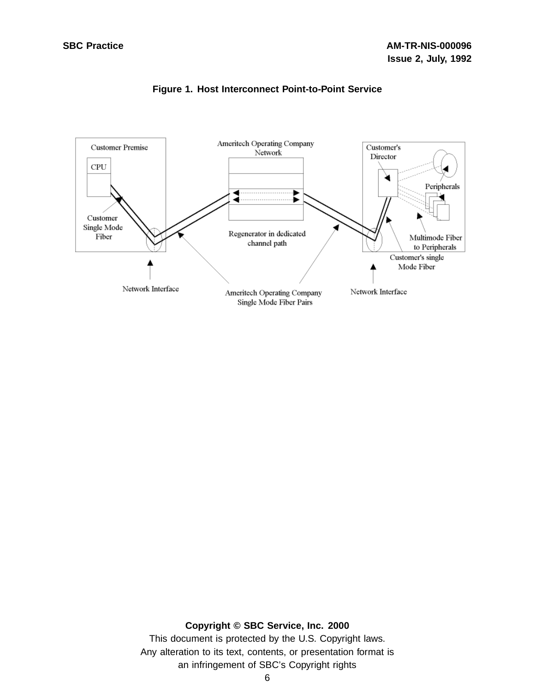

## **Figure 1. Host Interconnect Point-to-Point Service**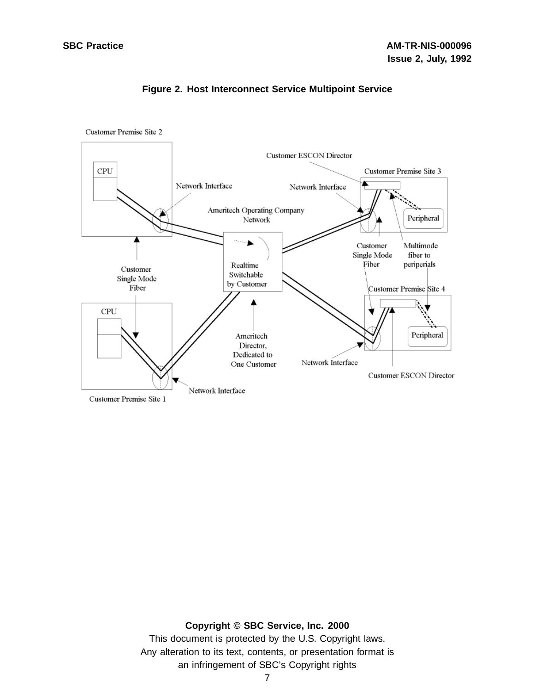

#### **Figure 2. Host Interconnect Service Multipoint Service**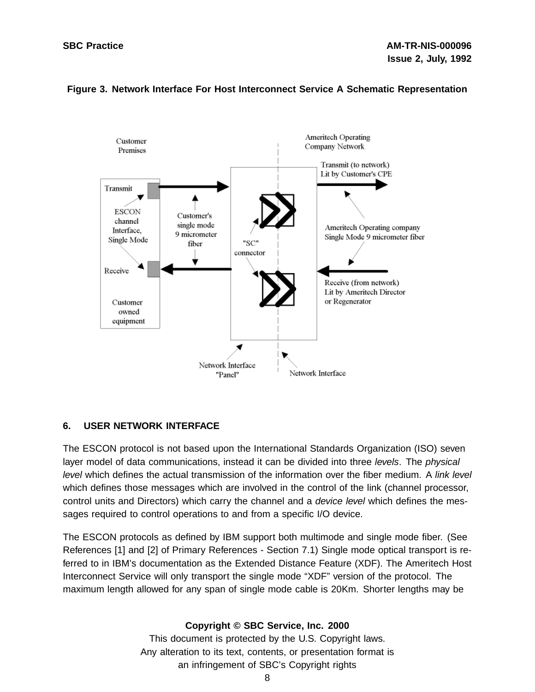



## **6. USER NETWORK INTERFACE**

The ESCON protocol is not based upon the International Standards Organization (ISO) seven layer model of data communications, instead it can be divided into three levels. The physical level which defines the actual transmission of the information over the fiber medium. A link level which defines those messages which are involved in the control of the link (channel processor, control units and Directors) which carry the channel and a device level which defines the messages required to control operations to and from a specific I/O device.

The ESCON protocols as defined by IBM support both multimode and single mode fiber. (See References [1] and [2] of Primary References - Section 7.1) Single mode optical transport is referred to in IBM's documentation as the Extended Distance Feature (XDF). The Ameritech Host Interconnect Service will only transport the single mode "XDF" version of the protocol. The maximum length allowed for any span of single mode cable is 20Km. Shorter lengths may be

## **Copyright © SBC Service, Inc. 2000**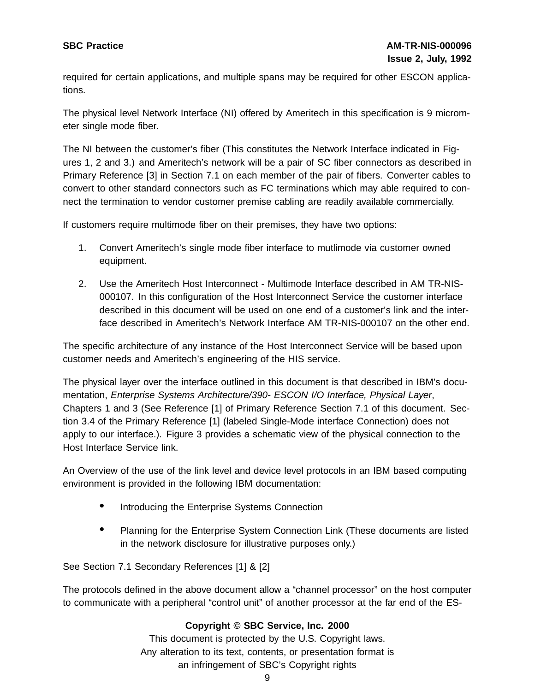required for certain applications, and multiple spans may be required for other ESCON applications.

The physical level Network Interface (NI) offered by Ameritech in this specification is 9 micrometer single mode fiber.

The NI between the customer's fiber (This constitutes the Network Interface indicated in Figures 1, 2 and 3.) and Ameritech's network will be a pair of SC fiber connectors as described in Primary Reference [3] in Section 7.1 on each member of the pair of fibers. Converter cables to convert to other standard connectors such as FC terminations which may able required to connect the termination to vendor customer premise cabling are readily available commercially.

If customers require multimode fiber on their premises, they have two options:

- 1. Convert Ameritech's single mode fiber interface to mutlimode via customer owned equipment.
- 2. Use the Ameritech Host Interconnect Multimode Interface described in AM TR-NIS-000107. In this configuration of the Host Interconnect Service the customer interface described in this document will be used on one end of a customer's link and the interface described in Ameritech's Network Interface AM TR-NIS-000107 on the other end.

The specific architecture of any instance of the Host Interconnect Service will be based upon customer needs and Ameritech's engineering of the HIS service.

The physical layer over the interface outlined in this document is that described in IBM's documentation, Enterprise Systems Architecture/390- ESCON I/O Interface, Physical Layer, Chapters 1 and 3 (See Reference [1] of Primary Reference Section 7.1 of this document. Section 3.4 of the Primary Reference [1] (labeled Single-Mode interface Connection) does not apply to our interface.). Figure 3 provides a schematic view of the physical connection to the Host Interface Service link.

An Overview of the use of the link level and device level protocols in an IBM based computing environment is provided in the following IBM documentation:

- Introducing the Enterprise Systems Connection
- Planning for the Enterprise System Connection Link (These documents are listed in the network disclosure for illustrative purposes only.)

See Section 7.1 Secondary References [1] & [2]

The protocols defined in the above document allow a "channel processor" on the host computer to communicate with a peripheral "control unit" of another processor at the far end of the ES-

## **Copyright © SBC Service, Inc. 2000**